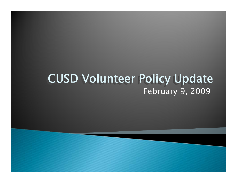#### February 9, 2009 CUSD Volunteer Policy Update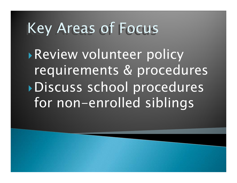# Key Areas of Focus

**Review volunteer policy** requirements & procedures `Discuss school procedures for non-enrolled siblings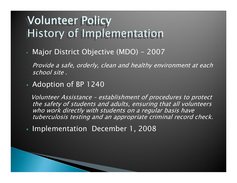### Volunteer Policy Volunteer Policy History of Implementation History of Implementation

• Major District Objective (MDO) - 2007

Provide a safe, orderly, clean and healthy environment at each school site .

Adoption of BP 1240

Volunteer Assistance – establishment of procedures to protect the safety of students and adults, ensuring that all volunteers who work directly with students on a regular basis have tuberculosis testing and an appropriate criminal record check.

 $\blacksquare$ Implementation December 1, 2008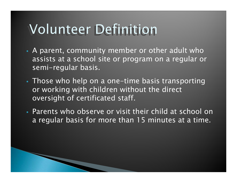# **Volunteer Definition**

- A parent, community member or other adult who assists at a school site or program on a regular or semi-regular basis.
- Those who help on a one-time basis transporting or working with children without the direct oversight of certificated staff.
- Parents who observe or visit their child at school on a regular basis for more than 15 minutes at a time.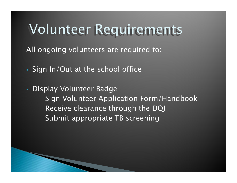## Volunteer Requirements

All ongoing volunteers are required to:

- Sign In/Out at the school office
- Display Volunteer Badge Sign Volunteer Application Form/Handbook Receive clearance through the DOJ Submit appropriate TB screening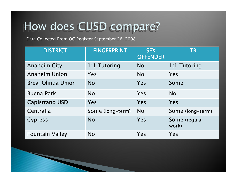## How does CUSD compare?

Data Collected From OC Register September 26, 2008

| <b>DISTRICT</b>        | <b>FINGERPRINT</b> | <b>SEX</b><br><b>OFFENDER</b> | <b>TB</b>              |
|------------------------|--------------------|-------------------------------|------------------------|
| <b>Anaheim City</b>    | 1:1 Tutoring       | <b>No</b>                     | 1:1 Tutoring           |
| <b>Anaheim Union</b>   | Yes                | <b>No</b>                     | Yes                    |
| Brea-Olinda Union      | <b>No</b>          | Yes                           | Some                   |
| <b>Buena Park</b>      | <b>No</b>          | Yes                           | <b>No</b>              |
| Capistrano USD         | <b>Yes</b>         | <b>Yes</b>                    | Yes                    |
| Centralia              | Some (long-term)   | <b>No</b>                     | Some (long-term)       |
| <b>Cypress</b>         | <b>No</b>          | Yes                           | Some (regular<br>work) |
| <b>Fountain Valley</b> | <b>No</b>          | Yes                           | Yes                    |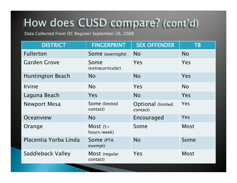#### How does CUSD compare? (cont'd)

Data Collected From OC Register September 26, 2008

| <b>DISTRICT</b>         | <b>FINGERPRINT</b>         | <b>SEX OFFENDER</b>                   | <b>TB</b>   |
|-------------------------|----------------------------|---------------------------------------|-------------|
| <b>Fullerton</b>        | Some (overnight)           | <b>No</b>                             | <b>No</b>   |
| <b>Garden Grove</b>     | Some<br>(extracurricular)  | Yes                                   | Yes         |
| <b>Huntington Beach</b> | <b>No</b>                  | <b>No</b>                             | Yes         |
| Irvine                  | <b>No</b>                  | Yes                                   | <b>No</b>   |
| Laguna Beach            | Yes                        | <b>No</b>                             | Yes         |
| <b>Newport Mesa</b>     | Some (limited<br>contact)  | <b>Optional (limited)</b><br>contact) | Yes         |
| Oceanview               | <b>No</b>                  | Encouraged                            | <b>Yes</b>  |
| Orange                  | Most $(5+)$<br>hours/week) | Some                                  | <b>Most</b> |
| Placentia Yorba Linda   | Some (PTA<br>exempt)       | <b>No</b>                             | Some        |
| Saddleback Valley       | Most (regular<br>contact)  | Yes                                   | <b>Most</b> |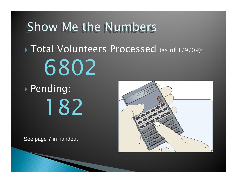## Show Me the Numbers

**Total Volunteers Processed** (as of 1/9/09): 6802

` Pending: 182

See page 7 in handout

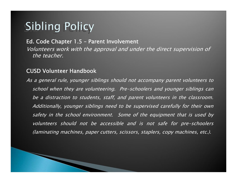## Sibling Policy

#### Ed. Code Chapter 1.5 – Parent Involvement

Volunteers work with the approval and under the direct supervision of the teacher.

#### CUSD Volunteer Handbook

As a general rule, younger siblings should not accompany parent volunteers to school when they are volunteering. Pre-schoolers and younger siblings can be a distraction to students, staff, and parent volunteers in the classroom. Additionally, younger siblings need to be supervised carefully for their own safety in the school environment. Some of the equipment that is used by volunteers should not be accessible and is not safe for pre-schoolers (laminating machines, paper cutters, scissors, staplers, copy machines, etc.).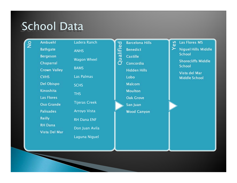### School Data

| Ladera Ranch<br><b>Ambuehl</b><br><b>Las Flores MS</b><br><b>Barcelona Hills</b><br>es<br>Qualified<br><b>Niguel Hills Middle</b><br><b>Bathgate</b><br><b>Benedict</b><br><b>ANHS</b><br><b>School</b><br><b>Bergeson</b><br><b>Castille</b><br><b>Wagon Wheel</b><br><b>Shorecliffs Middle</b><br>Chaparral<br>Concordia<br><b>School</b><br><b>BAMS</b><br><b>Crown Valley</b><br><b>Hidden Hills</b><br>Vista del Mar<br>Las Palmas<br><b>CVHS</b><br>Lobo<br><b>Middle School</b><br><b>Del Obispo</b><br><b>Malcom</b><br><b>SCHS</b><br>Kinoshita<br><b>Moulton</b><br><b>THS</b><br>Las Flores<br><b>Oak Grove</b><br><b>Tijeras Creek</b><br><b>Oso Grande</b><br>San Juan<br><b>Arroyo Vista</b><br><b>Palisades</b><br><b>Wood Canyon</b><br><b>Reilly</b><br><b>RH Dana ENF</b><br><b>RH Dana</b><br>Don Juan Avila |  |                      |  |  |  |  |  |
|---------------------------------------------------------------------------------------------------------------------------------------------------------------------------------------------------------------------------------------------------------------------------------------------------------------------------------------------------------------------------------------------------------------------------------------------------------------------------------------------------------------------------------------------------------------------------------------------------------------------------------------------------------------------------------------------------------------------------------------------------------------------------------------------------------------------------------|--|----------------------|--|--|--|--|--|
|                                                                                                                                                                                                                                                                                                                                                                                                                                                                                                                                                                                                                                                                                                                                                                                                                                 |  |                      |  |  |  |  |  |
|                                                                                                                                                                                                                                                                                                                                                                                                                                                                                                                                                                                                                                                                                                                                                                                                                                 |  |                      |  |  |  |  |  |
|                                                                                                                                                                                                                                                                                                                                                                                                                                                                                                                                                                                                                                                                                                                                                                                                                                 |  |                      |  |  |  |  |  |
|                                                                                                                                                                                                                                                                                                                                                                                                                                                                                                                                                                                                                                                                                                                                                                                                                                 |  |                      |  |  |  |  |  |
|                                                                                                                                                                                                                                                                                                                                                                                                                                                                                                                                                                                                                                                                                                                                                                                                                                 |  |                      |  |  |  |  |  |
|                                                                                                                                                                                                                                                                                                                                                                                                                                                                                                                                                                                                                                                                                                                                                                                                                                 |  |                      |  |  |  |  |  |
|                                                                                                                                                                                                                                                                                                                                                                                                                                                                                                                                                                                                                                                                                                                                                                                                                                 |  |                      |  |  |  |  |  |
|                                                                                                                                                                                                                                                                                                                                                                                                                                                                                                                                                                                                                                                                                                                                                                                                                                 |  |                      |  |  |  |  |  |
|                                                                                                                                                                                                                                                                                                                                                                                                                                                                                                                                                                                                                                                                                                                                                                                                                                 |  |                      |  |  |  |  |  |
|                                                                                                                                                                                                                                                                                                                                                                                                                                                                                                                                                                                                                                                                                                                                                                                                                                 |  |                      |  |  |  |  |  |
|                                                                                                                                                                                                                                                                                                                                                                                                                                                                                                                                                                                                                                                                                                                                                                                                                                 |  |                      |  |  |  |  |  |
|                                                                                                                                                                                                                                                                                                                                                                                                                                                                                                                                                                                                                                                                                                                                                                                                                                 |  |                      |  |  |  |  |  |
|                                                                                                                                                                                                                                                                                                                                                                                                                                                                                                                                                                                                                                                                                                                                                                                                                                 |  |                      |  |  |  |  |  |
|                                                                                                                                                                                                                                                                                                                                                                                                                                                                                                                                                                                                                                                                                                                                                                                                                                 |  |                      |  |  |  |  |  |
|                                                                                                                                                                                                                                                                                                                                                                                                                                                                                                                                                                                                                                                                                                                                                                                                                                 |  | <b>Vista Del Mar</b> |  |  |  |  |  |
| Laguna Niguel                                                                                                                                                                                                                                                                                                                                                                                                                                                                                                                                                                                                                                                                                                                                                                                                                   |  |                      |  |  |  |  |  |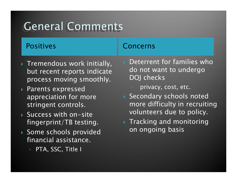## General Comments

#### Positives

- $\blacktriangleright$  Tremendous work initially, but recent reports indicate process moving smoothly.
- ` Parents expressed appreciation for more stringent controls.
- $\blacktriangleright$  Success with on-site fingerprint/TB testing.
- $\blacktriangleright$  Some schools provided  $\blacktriangleright$ financial assistance.
	- PTA, SSC, Title I

#### Concerns

- $\blacktriangleright$  Deterrent for families who do not want to undergo DOJ checks
	- privacy, cost, etc.
- $\blacktriangleright$  Secondary schools noted more difficulty in recruiting volunteers due to policy.
- $\blacktriangleright$  Tracking and monitoring on ongoing basis